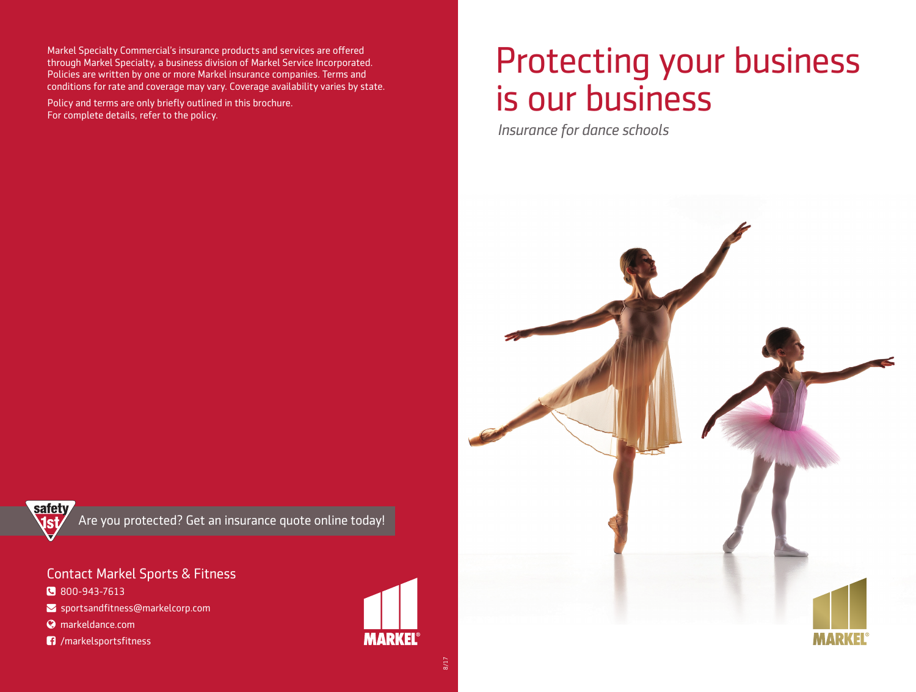Markel Specialty Commercial's insurance products and services are offered through Markel Specialty, a business division of Markel Service Incorporated. Policies are written by one or more Markel insurance companies. Terms and conditions for rate and coverage may vary. Coverage availability varies by state.

Policy and terms are only briefly outlined in this brochure. For complete details, refer to the policy.

# Protecting your business is our business

*Insurance for dance schools*



safety

Are you protected? Get an insurance quote online today!

Contact Markel Sports & Fitness

800-943-7613

- $\blacktriangleright$  sportsandfitness@markelcorp.com
- markeldance.com
- **17** /markelsportsfitness